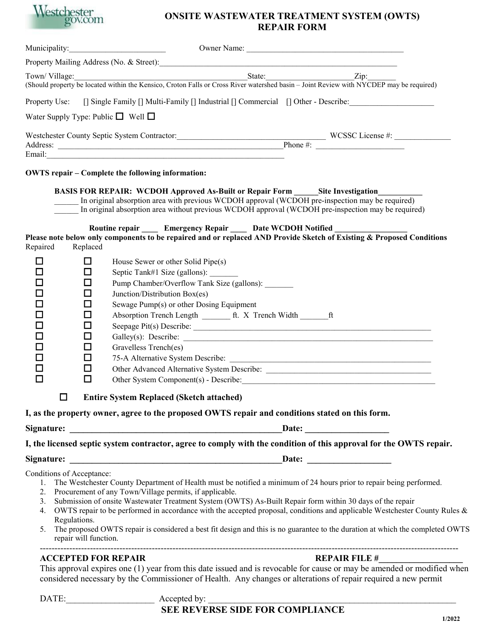

## **ONSITE WASTEWATER TREATMENT SYSTEM (OWTS) REPAIR FORM**

| Property Mailing Address (No. & Street): Mailing Address (No. & Street):<br>Example 2.1 and 2.1 and 2.1 and 2.1 and 2.1 and 2.1 and 2.1 and 2.1 and 2.1 and 2.1 and 2.1 and 2.1 and 2.1 and 2.1 and 2.1 and 2.1 and 2.1 and 2.1 and 2.1 and 2.1 and 2.1 and 2.1 and 2.1 and 2.1 and 2.1 and 2.1 and 2.1 an<br>(Should property be located within the Kensico, Croton Falls or Cross River watershed basin - Joint Review with NYCDEP may be required)<br>[] Single Family [] Multi-Family [] Industrial [] Commercial [] Other - Describe:<br>Water Supply Type: Public $\Box$ Well $\Box$<br>Email: Email: Email: Email: Email: Email: Email: Email: Email: Email: Email: Email: Email: Email: Email: Email: Email: Email: Email: Email: Email: Email: Email: Email: Email: Email: Email: Email: Email: Email: Email: Email<br><b>OWTS repair - Complete the following information:</b><br><b>BASIS FOR REPAIR: WCDOH Approved As-Built or Repair Form Site Investigation</b><br>In original absorption area with previous WCDOH approval (WCDOH pre-inspection may be required)<br>In original absorption area without previous WCDOH approval (WCDOH pre-inspection may be required)<br>Routine repair _____ Emergency Repair _____ Date WCDOH Notified<br>Please note below only components to be repaired and or replaced AND Provide Sketch of Existing & Proposed Conditions<br>Replaced<br>□<br>House Sewer or other Solid Pipe(s)<br>l 1<br>ப<br>Septic Tank#1 Size (gallons): ______<br>Pump Chamber/Overflow Tank Size (gallons):<br>□<br>□<br>Junction/Distribution Box(es)<br>□<br>Sewage Pump(s) or other Dosing Equipment<br>Absorption Trench Length ________ ft. X Trench Width ________ ft<br>□<br>□<br>ப<br>□<br>Gravelless Trench(es)<br>□<br>□<br>□<br>□<br>Other System Component(s) - Describe:<br><b>Entire System Replaced (Sketch attached)</b><br>ப<br>I, as the property owner, agree to the proposed OWTS repair and conditions stated on this form.<br>Date: $\qquad \qquad$<br>I, the licensed septic system contractor, agree to comply with the condition of this approval for the OWTS repair.<br>Date: <u>Date:</u><br>Conditions of Acceptance:<br>1. The Westchester County Department of Health must be notified a minimum of 24 hours prior to repair being performed.<br>2. Procurement of any Town/Village permits, if applicable. |               | Municipality:<br>Owner Name:                                                                              |
|-----------------------------------------------------------------------------------------------------------------------------------------------------------------------------------------------------------------------------------------------------------------------------------------------------------------------------------------------------------------------------------------------------------------------------------------------------------------------------------------------------------------------------------------------------------------------------------------------------------------------------------------------------------------------------------------------------------------------------------------------------------------------------------------------------------------------------------------------------------------------------------------------------------------------------------------------------------------------------------------------------------------------------------------------------------------------------------------------------------------------------------------------------------------------------------------------------------------------------------------------------------------------------------------------------------------------------------------------------------------------------------------------------------------------------------------------------------------------------------------------------------------------------------------------------------------------------------------------------------------------------------------------------------------------------------------------------------------------------------------------------------------------------------------------------------------------------------------------------------------------------------------------------------------------------------------------------------------------------------------------------------------------------------------------------------------------------------------------------------------------------------------------------------------------------------------------------------------------------------------------------------------------------------------------------------------------------------------------------------------------------|---------------|-----------------------------------------------------------------------------------------------------------|
|                                                                                                                                                                                                                                                                                                                                                                                                                                                                                                                                                                                                                                                                                                                                                                                                                                                                                                                                                                                                                                                                                                                                                                                                                                                                                                                                                                                                                                                                                                                                                                                                                                                                                                                                                                                                                                                                                                                                                                                                                                                                                                                                                                                                                                                                                                                                                                             |               |                                                                                                           |
|                                                                                                                                                                                                                                                                                                                                                                                                                                                                                                                                                                                                                                                                                                                                                                                                                                                                                                                                                                                                                                                                                                                                                                                                                                                                                                                                                                                                                                                                                                                                                                                                                                                                                                                                                                                                                                                                                                                                                                                                                                                                                                                                                                                                                                                                                                                                                                             | Town/Village: |                                                                                                           |
|                                                                                                                                                                                                                                                                                                                                                                                                                                                                                                                                                                                                                                                                                                                                                                                                                                                                                                                                                                                                                                                                                                                                                                                                                                                                                                                                                                                                                                                                                                                                                                                                                                                                                                                                                                                                                                                                                                                                                                                                                                                                                                                                                                                                                                                                                                                                                                             |               |                                                                                                           |
|                                                                                                                                                                                                                                                                                                                                                                                                                                                                                                                                                                                                                                                                                                                                                                                                                                                                                                                                                                                                                                                                                                                                                                                                                                                                                                                                                                                                                                                                                                                                                                                                                                                                                                                                                                                                                                                                                                                                                                                                                                                                                                                                                                                                                                                                                                                                                                             | Property Use: |                                                                                                           |
|                                                                                                                                                                                                                                                                                                                                                                                                                                                                                                                                                                                                                                                                                                                                                                                                                                                                                                                                                                                                                                                                                                                                                                                                                                                                                                                                                                                                                                                                                                                                                                                                                                                                                                                                                                                                                                                                                                                                                                                                                                                                                                                                                                                                                                                                                                                                                                             |               |                                                                                                           |
|                                                                                                                                                                                                                                                                                                                                                                                                                                                                                                                                                                                                                                                                                                                                                                                                                                                                                                                                                                                                                                                                                                                                                                                                                                                                                                                                                                                                                                                                                                                                                                                                                                                                                                                                                                                                                                                                                                                                                                                                                                                                                                                                                                                                                                                                                                                                                                             |               |                                                                                                           |
|                                                                                                                                                                                                                                                                                                                                                                                                                                                                                                                                                                                                                                                                                                                                                                                                                                                                                                                                                                                                                                                                                                                                                                                                                                                                                                                                                                                                                                                                                                                                                                                                                                                                                                                                                                                                                                                                                                                                                                                                                                                                                                                                                                                                                                                                                                                                                                             |               |                                                                                                           |
|                                                                                                                                                                                                                                                                                                                                                                                                                                                                                                                                                                                                                                                                                                                                                                                                                                                                                                                                                                                                                                                                                                                                                                                                                                                                                                                                                                                                                                                                                                                                                                                                                                                                                                                                                                                                                                                                                                                                                                                                                                                                                                                                                                                                                                                                                                                                                                             |               |                                                                                                           |
|                                                                                                                                                                                                                                                                                                                                                                                                                                                                                                                                                                                                                                                                                                                                                                                                                                                                                                                                                                                                                                                                                                                                                                                                                                                                                                                                                                                                                                                                                                                                                                                                                                                                                                                                                                                                                                                                                                                                                                                                                                                                                                                                                                                                                                                                                                                                                                             |               |                                                                                                           |
|                                                                                                                                                                                                                                                                                                                                                                                                                                                                                                                                                                                                                                                                                                                                                                                                                                                                                                                                                                                                                                                                                                                                                                                                                                                                                                                                                                                                                                                                                                                                                                                                                                                                                                                                                                                                                                                                                                                                                                                                                                                                                                                                                                                                                                                                                                                                                                             |               |                                                                                                           |
|                                                                                                                                                                                                                                                                                                                                                                                                                                                                                                                                                                                                                                                                                                                                                                                                                                                                                                                                                                                                                                                                                                                                                                                                                                                                                                                                                                                                                                                                                                                                                                                                                                                                                                                                                                                                                                                                                                                                                                                                                                                                                                                                                                                                                                                                                                                                                                             |               |                                                                                                           |
|                                                                                                                                                                                                                                                                                                                                                                                                                                                                                                                                                                                                                                                                                                                                                                                                                                                                                                                                                                                                                                                                                                                                                                                                                                                                                                                                                                                                                                                                                                                                                                                                                                                                                                                                                                                                                                                                                                                                                                                                                                                                                                                                                                                                                                                                                                                                                                             |               |                                                                                                           |
|                                                                                                                                                                                                                                                                                                                                                                                                                                                                                                                                                                                                                                                                                                                                                                                                                                                                                                                                                                                                                                                                                                                                                                                                                                                                                                                                                                                                                                                                                                                                                                                                                                                                                                                                                                                                                                                                                                                                                                                                                                                                                                                                                                                                                                                                                                                                                                             |               |                                                                                                           |
|                                                                                                                                                                                                                                                                                                                                                                                                                                                                                                                                                                                                                                                                                                                                                                                                                                                                                                                                                                                                                                                                                                                                                                                                                                                                                                                                                                                                                                                                                                                                                                                                                                                                                                                                                                                                                                                                                                                                                                                                                                                                                                                                                                                                                                                                                                                                                                             |               |                                                                                                           |
|                                                                                                                                                                                                                                                                                                                                                                                                                                                                                                                                                                                                                                                                                                                                                                                                                                                                                                                                                                                                                                                                                                                                                                                                                                                                                                                                                                                                                                                                                                                                                                                                                                                                                                                                                                                                                                                                                                                                                                                                                                                                                                                                                                                                                                                                                                                                                                             | Repaired      |                                                                                                           |
|                                                                                                                                                                                                                                                                                                                                                                                                                                                                                                                                                                                                                                                                                                                                                                                                                                                                                                                                                                                                                                                                                                                                                                                                                                                                                                                                                                                                                                                                                                                                                                                                                                                                                                                                                                                                                                                                                                                                                                                                                                                                                                                                                                                                                                                                                                                                                                             |               |                                                                                                           |
|                                                                                                                                                                                                                                                                                                                                                                                                                                                                                                                                                                                                                                                                                                                                                                                                                                                                                                                                                                                                                                                                                                                                                                                                                                                                                                                                                                                                                                                                                                                                                                                                                                                                                                                                                                                                                                                                                                                                                                                                                                                                                                                                                                                                                                                                                                                                                                             |               |                                                                                                           |
|                                                                                                                                                                                                                                                                                                                                                                                                                                                                                                                                                                                                                                                                                                                                                                                                                                                                                                                                                                                                                                                                                                                                                                                                                                                                                                                                                                                                                                                                                                                                                                                                                                                                                                                                                                                                                                                                                                                                                                                                                                                                                                                                                                                                                                                                                                                                                                             |               |                                                                                                           |
|                                                                                                                                                                                                                                                                                                                                                                                                                                                                                                                                                                                                                                                                                                                                                                                                                                                                                                                                                                                                                                                                                                                                                                                                                                                                                                                                                                                                                                                                                                                                                                                                                                                                                                                                                                                                                                                                                                                                                                                                                                                                                                                                                                                                                                                                                                                                                                             |               |                                                                                                           |
|                                                                                                                                                                                                                                                                                                                                                                                                                                                                                                                                                                                                                                                                                                                                                                                                                                                                                                                                                                                                                                                                                                                                                                                                                                                                                                                                                                                                                                                                                                                                                                                                                                                                                                                                                                                                                                                                                                                                                                                                                                                                                                                                                                                                                                                                                                                                                                             |               |                                                                                                           |
|                                                                                                                                                                                                                                                                                                                                                                                                                                                                                                                                                                                                                                                                                                                                                                                                                                                                                                                                                                                                                                                                                                                                                                                                                                                                                                                                                                                                                                                                                                                                                                                                                                                                                                                                                                                                                                                                                                                                                                                                                                                                                                                                                                                                                                                                                                                                                                             |               |                                                                                                           |
|                                                                                                                                                                                                                                                                                                                                                                                                                                                                                                                                                                                                                                                                                                                                                                                                                                                                                                                                                                                                                                                                                                                                                                                                                                                                                                                                                                                                                                                                                                                                                                                                                                                                                                                                                                                                                                                                                                                                                                                                                                                                                                                                                                                                                                                                                                                                                                             |               |                                                                                                           |
|                                                                                                                                                                                                                                                                                                                                                                                                                                                                                                                                                                                                                                                                                                                                                                                                                                                                                                                                                                                                                                                                                                                                                                                                                                                                                                                                                                                                                                                                                                                                                                                                                                                                                                                                                                                                                                                                                                                                                                                                                                                                                                                                                                                                                                                                                                                                                                             |               |                                                                                                           |
|                                                                                                                                                                                                                                                                                                                                                                                                                                                                                                                                                                                                                                                                                                                                                                                                                                                                                                                                                                                                                                                                                                                                                                                                                                                                                                                                                                                                                                                                                                                                                                                                                                                                                                                                                                                                                                                                                                                                                                                                                                                                                                                                                                                                                                                                                                                                                                             |               |                                                                                                           |
|                                                                                                                                                                                                                                                                                                                                                                                                                                                                                                                                                                                                                                                                                                                                                                                                                                                                                                                                                                                                                                                                                                                                                                                                                                                                                                                                                                                                                                                                                                                                                                                                                                                                                                                                                                                                                                                                                                                                                                                                                                                                                                                                                                                                                                                                                                                                                                             |               |                                                                                                           |
|                                                                                                                                                                                                                                                                                                                                                                                                                                                                                                                                                                                                                                                                                                                                                                                                                                                                                                                                                                                                                                                                                                                                                                                                                                                                                                                                                                                                                                                                                                                                                                                                                                                                                                                                                                                                                                                                                                                                                                                                                                                                                                                                                                                                                                                                                                                                                                             |               |                                                                                                           |
|                                                                                                                                                                                                                                                                                                                                                                                                                                                                                                                                                                                                                                                                                                                                                                                                                                                                                                                                                                                                                                                                                                                                                                                                                                                                                                                                                                                                                                                                                                                                                                                                                                                                                                                                                                                                                                                                                                                                                                                                                                                                                                                                                                                                                                                                                                                                                                             |               |                                                                                                           |
|                                                                                                                                                                                                                                                                                                                                                                                                                                                                                                                                                                                                                                                                                                                                                                                                                                                                                                                                                                                                                                                                                                                                                                                                                                                                                                                                                                                                                                                                                                                                                                                                                                                                                                                                                                                                                                                                                                                                                                                                                                                                                                                                                                                                                                                                                                                                                                             |               |                                                                                                           |
|                                                                                                                                                                                                                                                                                                                                                                                                                                                                                                                                                                                                                                                                                                                                                                                                                                                                                                                                                                                                                                                                                                                                                                                                                                                                                                                                                                                                                                                                                                                                                                                                                                                                                                                                                                                                                                                                                                                                                                                                                                                                                                                                                                                                                                                                                                                                                                             |               |                                                                                                           |
|                                                                                                                                                                                                                                                                                                                                                                                                                                                                                                                                                                                                                                                                                                                                                                                                                                                                                                                                                                                                                                                                                                                                                                                                                                                                                                                                                                                                                                                                                                                                                                                                                                                                                                                                                                                                                                                                                                                                                                                                                                                                                                                                                                                                                                                                                                                                                                             |               |                                                                                                           |
|                                                                                                                                                                                                                                                                                                                                                                                                                                                                                                                                                                                                                                                                                                                                                                                                                                                                                                                                                                                                                                                                                                                                                                                                                                                                                                                                                                                                                                                                                                                                                                                                                                                                                                                                                                                                                                                                                                                                                                                                                                                                                                                                                                                                                                                                                                                                                                             |               |                                                                                                           |
|                                                                                                                                                                                                                                                                                                                                                                                                                                                                                                                                                                                                                                                                                                                                                                                                                                                                                                                                                                                                                                                                                                                                                                                                                                                                                                                                                                                                                                                                                                                                                                                                                                                                                                                                                                                                                                                                                                                                                                                                                                                                                                                                                                                                                                                                                                                                                                             |               |                                                                                                           |
|                                                                                                                                                                                                                                                                                                                                                                                                                                                                                                                                                                                                                                                                                                                                                                                                                                                                                                                                                                                                                                                                                                                                                                                                                                                                                                                                                                                                                                                                                                                                                                                                                                                                                                                                                                                                                                                                                                                                                                                                                                                                                                                                                                                                                                                                                                                                                                             |               |                                                                                                           |
|                                                                                                                                                                                                                                                                                                                                                                                                                                                                                                                                                                                                                                                                                                                                                                                                                                                                                                                                                                                                                                                                                                                                                                                                                                                                                                                                                                                                                                                                                                                                                                                                                                                                                                                                                                                                                                                                                                                                                                                                                                                                                                                                                                                                                                                                                                                                                                             |               |                                                                                                           |
|                                                                                                                                                                                                                                                                                                                                                                                                                                                                                                                                                                                                                                                                                                                                                                                                                                                                                                                                                                                                                                                                                                                                                                                                                                                                                                                                                                                                                                                                                                                                                                                                                                                                                                                                                                                                                                                                                                                                                                                                                                                                                                                                                                                                                                                                                                                                                                             |               |                                                                                                           |
|                                                                                                                                                                                                                                                                                                                                                                                                                                                                                                                                                                                                                                                                                                                                                                                                                                                                                                                                                                                                                                                                                                                                                                                                                                                                                                                                                                                                                                                                                                                                                                                                                                                                                                                                                                                                                                                                                                                                                                                                                                                                                                                                                                                                                                                                                                                                                                             | 3.            | Submission of onsite Wastewater Treatment System (OWTS) As-Built Repair form within 30 days of the repair |
| OWTS repair to be performed in accordance with the accepted proposal, conditions and applicable Westchester County Rules $\&$<br>4.                                                                                                                                                                                                                                                                                                                                                                                                                                                                                                                                                                                                                                                                                                                                                                                                                                                                                                                                                                                                                                                                                                                                                                                                                                                                                                                                                                                                                                                                                                                                                                                                                                                                                                                                                                                                                                                                                                                                                                                                                                                                                                                                                                                                                                         |               |                                                                                                           |
| Regulations.                                                                                                                                                                                                                                                                                                                                                                                                                                                                                                                                                                                                                                                                                                                                                                                                                                                                                                                                                                                                                                                                                                                                                                                                                                                                                                                                                                                                                                                                                                                                                                                                                                                                                                                                                                                                                                                                                                                                                                                                                                                                                                                                                                                                                                                                                                                                                                |               |                                                                                                           |
| The proposed OWTS repair is considered a best fit design and this is no guarantee to the duration at which the completed OWTS<br>5.<br>repair will function.                                                                                                                                                                                                                                                                                                                                                                                                                                                                                                                                                                                                                                                                                                                                                                                                                                                                                                                                                                                                                                                                                                                                                                                                                                                                                                                                                                                                                                                                                                                                                                                                                                                                                                                                                                                                                                                                                                                                                                                                                                                                                                                                                                                                                |               |                                                                                                           |
| <b>REPAIR FILE #</b><br><b>ACCEPTED FOR REPAIR</b>                                                                                                                                                                                                                                                                                                                                                                                                                                                                                                                                                                                                                                                                                                                                                                                                                                                                                                                                                                                                                                                                                                                                                                                                                                                                                                                                                                                                                                                                                                                                                                                                                                                                                                                                                                                                                                                                                                                                                                                                                                                                                                                                                                                                                                                                                                                          |               |                                                                                                           |
| This approval expires one (1) year from this date issued and is revocable for cause or may be amended or modified when                                                                                                                                                                                                                                                                                                                                                                                                                                                                                                                                                                                                                                                                                                                                                                                                                                                                                                                                                                                                                                                                                                                                                                                                                                                                                                                                                                                                                                                                                                                                                                                                                                                                                                                                                                                                                                                                                                                                                                                                                                                                                                                                                                                                                                                      |               |                                                                                                           |
| considered necessary by the Commissioner of Health. Any changes or alterations of repair required a new permit                                                                                                                                                                                                                                                                                                                                                                                                                                                                                                                                                                                                                                                                                                                                                                                                                                                                                                                                                                                                                                                                                                                                                                                                                                                                                                                                                                                                                                                                                                                                                                                                                                                                                                                                                                                                                                                                                                                                                                                                                                                                                                                                                                                                                                                              |               |                                                                                                           |

DATE: Accepted by:

## **SEE REVERSE SIDE FOR COMPLIANCE**